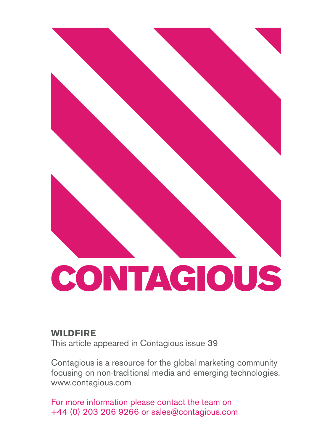

## **Wildfire**

This article appeared in Contagious issue 39

Contagious is a resource for the global marketing community focusing on non-traditional media and emerging technologies. www.contagious.com

For more information please contact the team on +44 (0) 203 206 9266 or sales@contagious.com